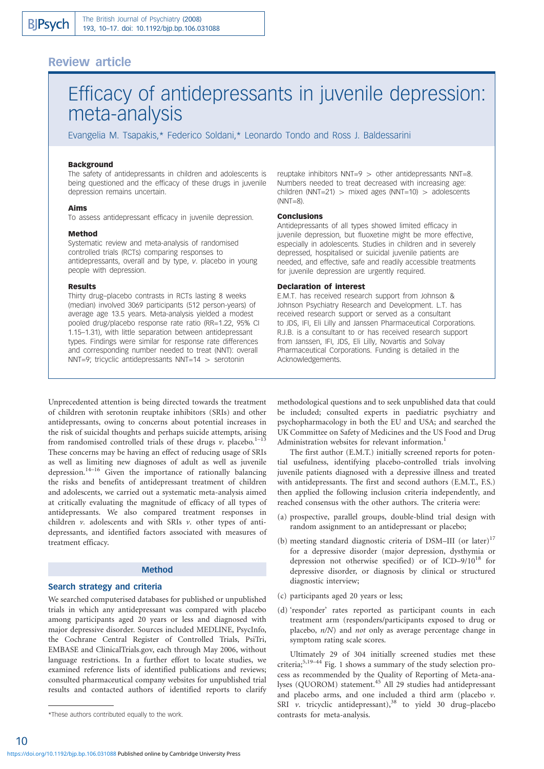# Review article

# Efficacy of antidepressants in juvenile depression: meta-analysis

Evangelia M. Tsapakis,\* Federico Soldani,\* Leonardo Tondo and Ross J. Baldessarini

### Background

The safety of antidepressants in children and adolescents is being questioned and the efficacy of these drugs in juvenile depression remains uncertain.

### Aims

To assess antidepressant efficacy in juvenile depression.

### Method

Systematic review and meta-analysis of randomised controlled trials (RCTs) comparing responses to antidepressants, overall and by type, v. placebo in young people with depression.

### Results

Thirty drug–placebo contrasts in RCTs lasting 8 weeks (median) involved 3069 participants (512 person-years) of average age 13.5 years. Meta-analysis yielded a modest pooled drug/placebo response rate ratio (RR=1.22, 95% CI 1.15–1.31), with little separation between antidepressant types. Findings were similar for response rate differences and corresponding number needed to treat (NNT): overall NNT=9; tricyclic antidepressants NNT=14  $>$  serotonin

reuptake inhibitors NNT=9  $>$  other antidepressants NNT=8. Numbers needed to treat decreased with increasing age: children (NNT=21) > mixed ages (NNT=10) > adolescents  $(NNT=8)$ .

### **Conclusions**

Antidepressants of all types showed limited efficacy in juvenile depression, but fluoxetine might be more effective, especially in adolescents. Studies in children and in severely depressed, hospitalised or suicidal juvenile patients are needed, and effective, safe and readily accessible treatments for juvenile depression are urgently required.

### Declaration of interest

E.M.T. has received research support from Johnson & Johnson Psychiatry Research and Development. L.T. has received research support or served as a consultant to JDS, IFI, Eli Lilly and Janssen Pharmaceutical Corporations. R.J.B. is a consultant to or has received research support from Janssen, IFI, JDS, Eli Lilly, Novartis and Solvay Pharmaceutical Corporations. Funding is detailed in the Acknowledgements.

Unprecedented attention is being directed towards the treatment of children with serotonin reuptake inhibitors (SRIs) and other antidepressants, owing to concerns about potential increases in the risk of suicidal thoughts and perhaps suicide attempts, arising from randomised controlled trials of these drugs  $\nu$ . placebo.<sup>1-</sup> These concerns may be having an effect of reducing usage of SRIs as well as limiting new diagnoses of adult as well as juvenile depression.14–16 Given the importance of rationally balancing the risks and benefits of antidepressant treatment of children and adolescents, we carried out a systematic meta-analysis aimed at critically evaluating the magnitude of efficacy of all types of antidepressants. We also compared treatment responses in children  $\nu$ . adolescents and with SRIs  $\nu$ . other types of antidepressants, and identified factors associated with measures of treatment efficacy.

### Method

### Search strategy and criteria

We searched computerised databases for published or unpublished trials in which any antidepressant was compared with placebo among participants aged 20 years or less and diagnosed with major depressive disorder. Sources included MEDLINE, PsycInfo, the Cochrane Central Register of Controlled Trials, PsiTri, EMBASE and ClinicalTrials.gov, each through May 2006, without language restrictions. In a further effort to locate studies, we examined reference lists of identified publications and reviews; consulted pharmaceutical company websites for unpublished trial results and contacted authors of identified reports to clarify methodological questions and to seek unpublished data that could be included; consulted experts in paediatric psychiatry and psychopharmacology in both the EU and USA; and searched the UK Committee on Safety of Medicines and the US Food and Drug Administration websites for relevant information.<sup>1</sup>

The first author (E.M.T.) initially screened reports for potential usefulness, identifying placebo-controlled trials involving juvenile patients diagnosed with a depressive illness and treated with antidepressants. The first and second authors (E.M.T., F.S.) then applied the following inclusion criteria independently, and reached consensus with the other authors. The criteria were:

- (a) prospective, parallel groups, double-blind trial design with random assignment to an antidepressant or placebo;
- (b) meeting standard diagnostic criteria of DSM–III (or later)<sup>17</sup> for a depressive disorder (major depression, dysthymia or depression not otherwise specified) or of  $\text{ICD-9/10}^{18}$  for depressive disorder, or diagnosis by clinical or structured diagnostic interview;
- (c) participants aged 20 years or less;
- (d) 'responder' rates reported as participant counts in each treatment arm (responders/participants exposed to drug or placebo, n/N) and not only as average percentage change in symptom rating scale scores.

Ultimately 29 of 304 initially screened studies met these criteria;5,19–44 Fig. 1 shows a summary of the study selection process as recommended by the Quality of Reporting of Meta-analyses (QUOROM) statement.<sup>45</sup> All 29 studies had antidepressant and placebo arms, and one included a third arm (placebo  $\nu$ . SRI  $\nu$ . tricyclic antidepressant),<sup>38</sup> to yield 30 drug-placebo contrasts for meta-analysis.

<sup>\*</sup>These authors contributed equally to the work.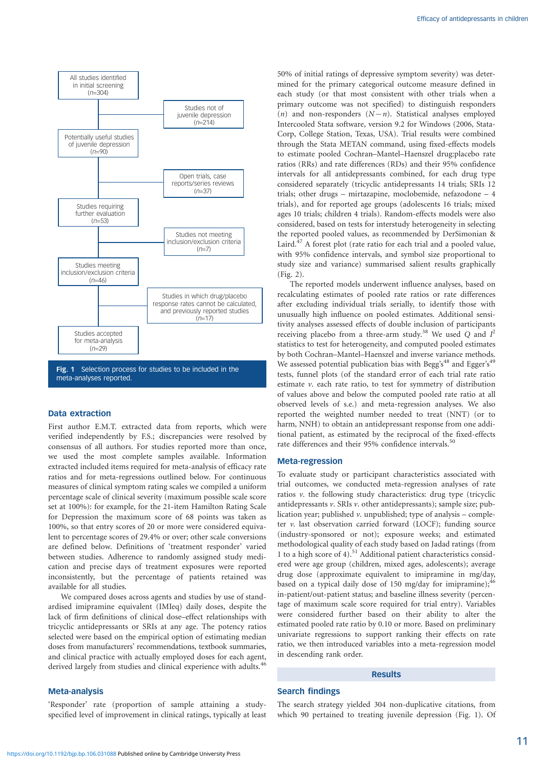

### Data extraction

First author E.M.T. extracted data from reports, which were verified independently by F.S.; discrepancies were resolved by consensus of all authors. For studies reported more than once, we used the most complete samples available. Information extracted included items required for meta-analysis of efficacy rate ratios and for meta-regressions outlined below. For continuous measures of clinical symptom rating scales we compiled a uniform percentage scale of clinical severity (maximum possible scale score set at 100%): for example, for the 21-item Hamilton Rating Scale for Depression the maximum score of 68 points was taken as 100%, so that entry scores of 20 or more were considered equivalent to percentage scores of 29.4% or over; other scale conversions are defined below. Definitions of 'treatment responder' varied between studies. Adherence to randomly assigned study medication and precise days of treatment exposures were reported inconsistently, but the percentage of patients retained was available for all studies.

We compared doses across agents and studies by use of standardised imipramine equivalent (IMIeq) daily doses, despite the lack of firm definitions of clinical dose–effect relationships with tricyclic antidepressants or SRIs at any age. The potency ratios selected were based on the empirical option of estimating median doses from manufacturers' recommendations, textbook summaries, and clinical practice with actually employed doses for each agent, derived largely from studies and clinical experience with adults.<sup>4</sup>

### Meta-analysis

'Responder' rate (proportion of sample attaining a studyspecified level of improvement in clinical ratings, typically at least 50% of initial ratings of depressive symptom severity) was determined for the primary categorical outcome measure defined in each study (or that most consistent with other trials when a primary outcome was not specified) to distinguish responders  $(n)$  and non-responders  $(N-n)$ . Statistical analyses employed Intercooled Stata software, version 9.2 for Windows (2006, Stata-Corp, College Station, Texas, USA). Trial results were combined through the Stata METAN command, using fixed-effects models to estimate pooled Cochran–Mantel–Haenszel drug:placebo rate ratios (RRs) and rate differences (RDs) and their 95% confidence intervals for all antidepressants combined, for each drug type considered separately (tricyclic antidepressants 14 trials; SRIs 12 trials; other drugs – mirtazapine, moclobemide, nefazodone – 4 trials), and for reported age groups (adolescents 16 trials; mixed ages 10 trials; children 4 trials). Random-effects models were also considered, based on tests for interstudy heterogeneity in selecting the reported pooled values, as recommended by DerSimonian & Laird. $47$  A forest plot (rate ratio for each trial and a pooled value, with 95% confidence intervals, and symbol size proportional to study size and variance) summarised salient results graphically (Fig. 2).

The reported models underwent influence analyses, based on recalculating estimates of pooled rate ratios or rate differences after excluding individual trials serially, to identify those with unusually high influence on pooled estimates. Additional sensitivity analyses assessed effects of double inclusion of participants receiving placebo from a three-arm study.<sup>38</sup> We used Q and  $I^2$ statistics to test for heterogeneity, and computed pooled estimates by both Cochran–Mantel–Haenszel and inverse variance methods. We assessed potential publication bias with Begg's<sup>48</sup> and Egger's<sup>49</sup> tests, funnel plots (of the standard error of each trial rate ratio estimate v. each rate ratio, to test for symmetry of distribution of values above and below the computed pooled rate ratio at all observed levels of s.e.) and meta-regression analyses. We also reported the weighted number needed to treat (NNT) (or to harm, NNH) to obtain an antidepressant response from one additional patient, as estimated by the reciprocal of the fixed-effects rate differences and their 95% confidence intervals.<sup>50</sup>

### Meta-regression

To evaluate study or participant characteristics associated with trial outcomes, we conducted meta-regression analyses of rate ratios  $v$ . the following study characteristics: drug type (tricyclic antidepressants  $\nu$ . SRIs  $\nu$ . other antidepressants); sample size; publication year; published  $\nu$ . unpublished; type of analysis – completer v. last observation carried forward (LOCF); funding source (industry-sponsored or not); exposure weeks; and estimated methodological quality of each study based on Jadad ratings (from 1 to a high score of 4). $51$  Additional patient characteristics considered were age group (children, mixed ages, adolescents); average drug dose (approximate equivalent to imipramine in mg/day, based on a typical daily dose of 150 mg/day for imipramine);<sup>46</sup> in-patient/out-patient status; and baseline illness severity (percentage of maximum scale score required for trial entry). Variables were considered further based on their ability to alter the estimated pooled rate ratio by 0.10 or more. Based on preliminary univariate regressions to support ranking their effects on rate ratio, we then introduced variables into a meta-regression model in descending rank order.

## Results

Search findings

The search strategy yielded 304 non-duplicative citations, from which 90 pertained to treating juvenile depression (Fig. 1). Of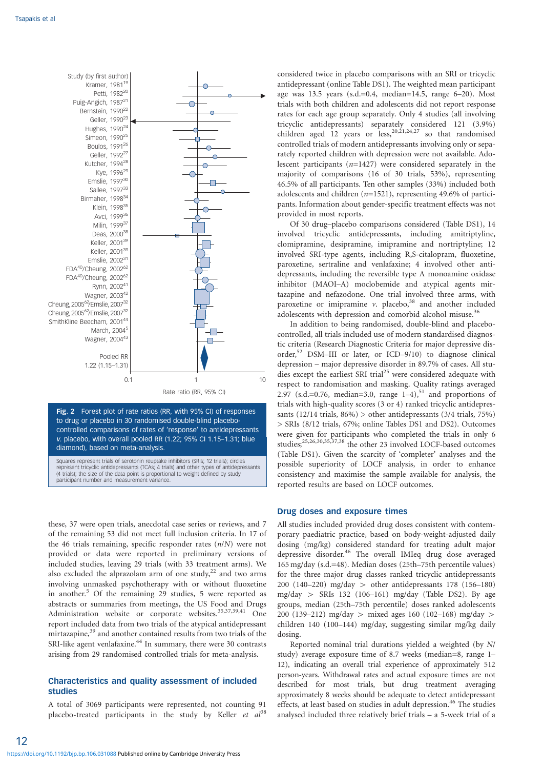

represent tricyclic antidepressants (TCAs; 4 trials) and other types of antidepressants (4 trials); the size of the data point is proportional to weight defined by study participant number and measurement variance.

these, 37 were open trials, anecdotal case series or reviews, and 7 of the remaining 53 did not meet full inclusion criteria. In 17 of the 46 trials remaining, specific responder rates  $(n/N)$  were not provided or data were reported in preliminary versions of included studies, leaving 29 trials (with 33 treatment arms). We also excluded the alprazolam arm of one study, $22$  and two arms involving unmasked psychotherapy with or without fluoxetine in another.<sup>5</sup> Of the remaining 29 studies, 5 were reported as abstracts or summaries from meetings, the US Food and Drugs Administration website or corporate websites.35,37,39,41 One report included data from two trials of the atypical antidepressant mirtazapine,<sup>39</sup> and another contained results from two trials of the SRI-like agent venlafaxine.<sup>44</sup> In summary, there were 30 contrasts arising from 29 randomised controlled trials for meta-analysis.

### Characteristics and quality assessment of included studies

A total of 3069 participants were represented, not counting 91 placebo-treated participants in the study by Keller et  $al^{38}$  considered twice in placebo comparisons with an SRI or tricyclic antidepressant (online Table DS1). The weighted mean participant age was 13.5 years (s.d.=0.4, median=14.5, range 6–20). Most trials with both children and adolescents did not report response rates for each age group separately. Only 4 studies (all involving tricyclic antidepressants) separately considered 121 (3.9%) children aged 12 years or less,  $20,21,24,27$  so that randomised controlled trials of modern antidepressants involving only or separately reported children with depression were not available. Adolescent participants  $(n=1427)$  were considered separately in the majority of comparisons (16 of 30 trials, 53%), representing 46.5% of all participants. Ten other samples (33%) included both adolescents and children (n=1521), representing 49.6% of participants. Information about gender-specific treatment effects was not provided in most reports.

Of 30 drug–placebo comparisons considered (Table DS1), 14 involved tricyclic antidepressants, including amitriptyline, clomipramine, desipramine, imipramine and nortriptyline; 12 involved SRI-type agents, including R,S-citalopram, fluoxetine, paroxetine, sertraline and venlafaxine; 4 involved other antidepressants, including the reversible type A monoamine oxidase inhibitor (MAOI–A) moclobemide and atypical agents mirtazapine and nefazodone. One trial involved three arms, with paroxetine or imipramine  $v$ . placebo,<sup>38</sup> and another included adolescents with depression and comorbid alcohol misuse.<sup>36</sup>

In addition to being randomised, double-blind and placebocontrolled, all trials included use of modern standardised diagnostic criteria (Research Diagnostic Criteria for major depressive disorder,<sup>52</sup> DSM-III or later, or ICD-9/10) to diagnose clinical depression – major depressive disorder in 89.7% of cases. All studies except the earliest SRI trial<sup>25</sup> were considered adequate with respect to randomisation and masking. Quality ratings averaged 2.97 (s.d.=0.76, median=3.0, range  $1-4$ ),<sup>51</sup> and proportions of trials with high-quality scores (3 or 4) ranked tricyclic antidepressants (12/14 trials,  $86\%)$  > other antidepressants (3/4 trials, 75%) > SRIs (8/12 trials, 67%; online Tables DS1 and DS2). Outcomes were given for participants who completed the trials in only 6 studies;25,26,30,35,37,38 the other 23 involved LOCF-based outcomes (Table DS1). Given the scarcity of 'completer' analyses and the possible superiority of LOCF analysis, in order to enhance consistency and maximise the sample available for analysis, the reported results are based on LOCF outcomes.

### Drug doses and exposure times

All studies included provided drug doses consistent with contemporary paediatric practice, based on body-weight-adjusted daily dosing (mg/kg) considered standard for treating adult major depressive disorder.<sup>46</sup> The overall IMIeq drug dose averaged 165 mg/day (s.d.=48). Median doses (25th–75th percentile values) for the three major drug classes ranked tricyclic antidepressants 200 (140–220) mg/day  $>$  other antidepressants 178 (156–180) mg/day  $>$  SRIs 132 (106–161) mg/day (Table DS2). By age groups, median (25th–75th percentile) doses ranked adolescents 200 (139–212) mg/day  $>$  mixed ages 160 (102–168) mg/day  $>$ children 140 (100–144) mg/day, suggesting similar mg/kg daily dosing.

Reported nominal trial durations yielded a weighted (by N/ study) average exposure time of 8.7 weeks (median=8, range 1– 12), indicating an overall trial experience of approximately 512 person-years. Withdrawal rates and actual exposure times are not described for most trials, but drug treatment averaging approximately 8 weeks should be adequate to detect antidepressant effects, at least based on studies in adult depression.<sup>46</sup> The studies analysed included three relatively brief trials – a 5-week trial of a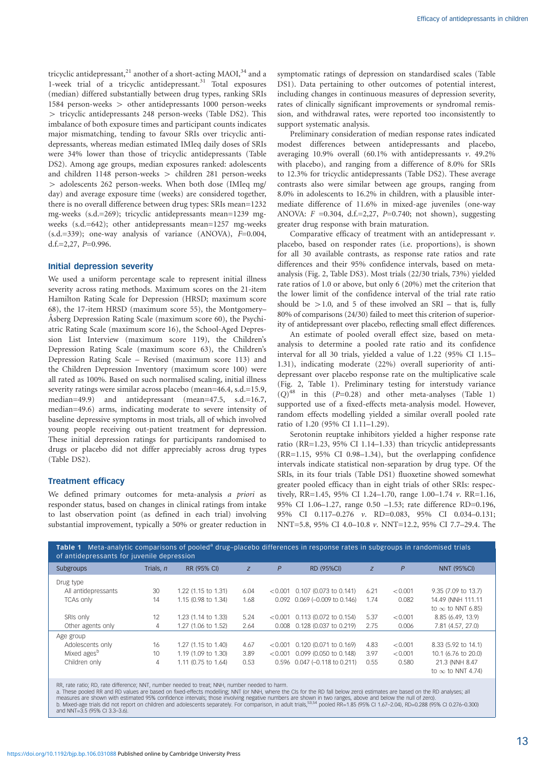tricyclic antidepressant,<sup>21</sup> another of a short-acting MAOI,<sup>34</sup> and a 1-week trial of a tricyclic antidepressant.<sup>31</sup> Total exposures (median) differed substantially between drug types, ranking SRIs 1584 person-weeks  $>$  other antidepressants 1000 person-weeks > tricyclic antidepressants 248 person-weeks (Table DS2). This imbalance of both exposure times and participant counts indicates major mismatching, tending to favour SRIs over tricyclic antidepressants, whereas median estimated IMIeq daily doses of SRIs were 34% lower than those of tricyclic antidepressants (Table DS2). Among age groups, median exposures ranked: adolescents and children 1148 person-weeks  $>$  children 281 person-weeks > adolescents 262 person-weeks. When both dose (IMIeq mg/ day) and average exposure time (weeks) are considered together, there is no overall difference between drug types: SRIs mean=1232 mg-weeks (s.d.=269); tricyclic antidepressants mean=1239 mgweeks (s.d.=642); other antidepressants mean=1257 mg-weeks (s.d.=339); one-way analysis of variance (ANOVA), F=0.004, d.f.=2,27,  $P=0.996$ .

### Initial depression severity

We used a uniform percentage scale to represent initial illness severity across rating methods. Maximum scores on the 21-item Hamilton Rating Scale for Depression (HRSD; maximum score 68), the 17-item HRSD (maximum score 55), the Montgomery– Asberg Depression Rating Scale (maximum score 60), the Psychiatric Rating Scale (maximum score 16), the School-Aged Depression List Interview (maximum score 119), the Children's Depression Rating Scale (maximum score 63), the Children's Depression Rating Scale – Revised (maximum score 113) and the Children Depression Inventory (maximum score 100) were all rated as 100%. Based on such normalised scaling, initial illness severity ratings were similar across placebo (mean=46.4, s.d.=15.9, median=49.9) and antidepressant (mean=47.5, s.d.=16.7, median=49.6) arms, indicating moderate to severe intensity of baseline depressive symptoms in most trials, all of which involved young people receiving out-patient treatment for depression. These initial depression ratings for participants randomised to drugs or placebo did not differ appreciably across drug types (Table DS2).

### Treatment efficacy

We defined primary outcomes for meta-analysis a priori as responder status, based on changes in clinical ratings from intake to last observation point (as defined in each trial) involving substantial improvement, typically a 50% or greater reduction in

symptomatic ratings of depression on standardised scales (Table DS1). Data pertaining to other outcomes of potential interest, including changes in continuous measures of depression severity, rates of clinically significant improvements or syndromal remission, and withdrawal rates, were reported too inconsistently to support systematic analysis.

Preliminary consideration of median response rates indicated modest differences between antidepressants and placebo, averaging 10.9% overall (60.1% with antidepressants  $\nu$ , 49.2% with placebo), and ranging from a difference of 8.0% for SRIs to 12.3% for tricyclic antidepressants (Table DS2). These average contrasts also were similar between age groups, ranging from 8.0% in adolescents to 16.2% in children, with a plausible intermediate difference of 11.6% in mixed-age juveniles (one-way ANOVA:  $F = 0.304$ , d.f.=2,27, P=0.740; not shown), suggesting greater drug response with brain maturation.

Comparative efficacy of treatment with an antidepressant v. placebo, based on responder rates (i.e. proportions), is shown for all 30 available contrasts, as response rate ratios and rate differences and their 95% confidence intervals, based on metaanalysis (Fig. 2, Table DS3). Most trials (22/30 trials, 73%) yielded rate ratios of 1.0 or above, but only 6 (20%) met the criterion that the lower limit of the confidence interval of the trial rate ratio should be  $>1.0$ , and 5 of these involved an SRI – that is, fully 80% of comparisons (24/30) failed to meet this criterion of superiority of antidepressant over placebo, reflecting small effect differences.

An estimate of pooled overall effect size, based on metaanalysis to determine a pooled rate ratio and its confidence interval for all 30 trials, yielded a value of 1.22 (95% CI 1.15– 1.31), indicating moderate (22%) overall superiority of antidepressant over placebo response rate on the multiplicative scale (Fig. 2, Table 1). Preliminary testing for interstudy variance  $(Q)$ <sup>48</sup> in this  $(P=0.28)$  and other meta-analyses (Table 1) supported use of a fixed-effects meta-analysis model. However, random effects modelling yielded a similar overall pooled rate ratio of 1.20 (95% CI 1.11–1.29).

Serotonin reuptake inhibitors yielded a higher response rate ratio (RR=1.23, 95% CI 1.14–1.33) than tricyclic antidepressants (RR=1.15, 95% CI 0.98–1.34), but the overlapping confidence intervals indicate statistical non-separation by drug type. Of the SRIs, in its four trials (Table DS1) fluoxetine showed somewhat greater pooled efficacy than in eight trials of other SRIs: respectively, RR=1.45, 95% CI 1.24–1.70, range 1.00–1.74 v. RR=1.16, 95% CI 1.06–1.27, range 0.50 –1.53; rate difference RD=0.196, 95% CI 0.117–0.276 v. RD=0.083, 95% CI 0.034–0.131; NNT=5.8, 95% CI 4.0–10.8 v. NNT=12.2, 95% CI 7.7–29.4. The

| Meta-analytic comparisons of pooled <sup>a</sup> drug-placebo differences in response rates in subgroups in randomised trials<br>Table 1<br>of antidepressants for juvenile depression |             |                     |      |              |                               |      |                |                                             |
|----------------------------------------------------------------------------------------------------------------------------------------------------------------------------------------|-------------|---------------------|------|--------------|-------------------------------|------|----------------|---------------------------------------------|
| <b>Subgroups</b>                                                                                                                                                                       | Trials, $n$ | RR (95% CI)         | Z    | $\mathsf{P}$ | RD (95%CI)                    | Z    | $\overline{P}$ | <b>NNT (95%CI)</b>                          |
| Drug type                                                                                                                                                                              |             |                     |      |              |                               |      |                |                                             |
| All antidepressants                                                                                                                                                                    | 30          | 1.22 (1.15 to 1.31) | 6.04 | < 0.001      | 0.107 (0.073 to 0.141)        | 6.21 | < 0.001        | 9.35 (7.09 to 13.7)                         |
| <b>TCAs only</b>                                                                                                                                                                       | 14          | 1.15 (0.98 to 1.34) | 1.68 | 0.092        | 0.069 (-0.009 to 0.146)       | 1.74 | 0.082          | 14.49 (NNH 111.11                           |
|                                                                                                                                                                                        |             |                     |      |              |                               |      |                | to $\infty$ to NNT 6.85)                    |
| SRIs only                                                                                                                                                                              | 12          | 1.23 (1.14 to 1.33) | 5.24 | < 0.001      | 0.113 (0.072 to 0.154)        | 5.37 | < 0.001        | 8.85 (6.49, 13.9)                           |
| Other agents only                                                                                                                                                                      | 4           | 1.27 (1.06 to 1.52) | 2.64 | 0.008        | 0.128 (0.037 to 0.219)        | 2.75 | 0.006          | 7.81 (4.57, 27.0)                           |
| Age group                                                                                                                                                                              |             |                     |      |              |                               |      |                |                                             |
| Adolescents only                                                                                                                                                                       | 16          | 1.27 (1.15 to 1.40) | 4.67 | < 0.001      | 0.120 (0.071 to 0.169)        | 4.83 | < 0.001        | 8.33 (5.92 to 14.1)                         |
| Mixed ages <sup>b</sup>                                                                                                                                                                | 10          | 1.19 (1.09 to 1.30) | 3.89 | < 0.001      | 0.099 (0.050 to 0.148)        | 3.97 | < 0.001        | 10.1 (6.76 to 20.0)                         |
| Children only                                                                                                                                                                          | 4           | 1.11 (0.75 to 1.64) | 0.53 |              | 0.596 0.047 (-0.118 to 0.211) | 0.55 | 0.580          | 21.3 (NNH 8.47)<br>to $\infty$ to NNT 4.74) |

RR, rate ratio; RD, rate difference; NNT, number needed to treat; NNH, number needed to harm.<br>a. These pooled RR and RD values are based on fixed-effects modelling; NNT (or NNH, where the CIs for the RD fall below zero) es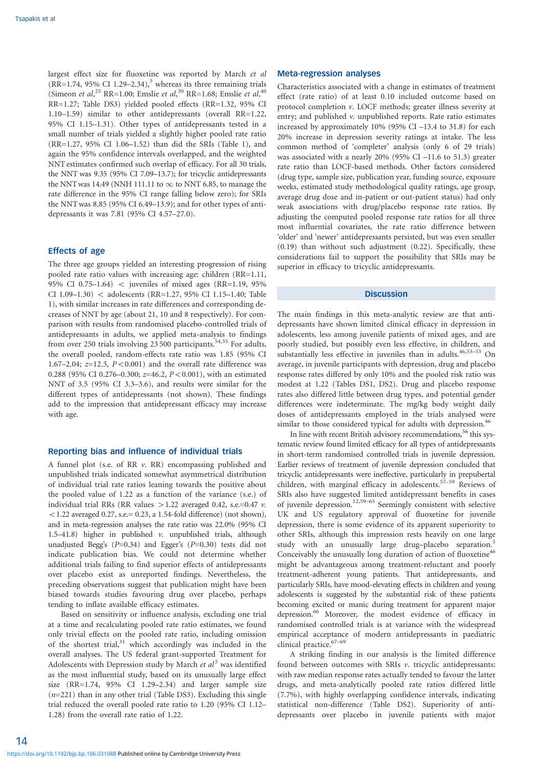largest effect size for fluoxetine was reported by March et al  $(RR=1.74, 95\% \text{ CI } 1.29-2.34),$ <sup>5</sup> whereas its three remaining trials (Simeon et al,<sup>25</sup> RR=1.00; Emslie et al,<sup>30</sup> RR=1.68; Emslie et al,<sup>40</sup> RR=1.27; Table DS3) yielded pooled effects (RR=1.32, 95% CI 1.10–1.59) similar to other antidepressants (overall RR=1.22, 95% CI 1.15–1.31). Other types of antidepressants tested in a small number of trials yielded a slightly higher pooled rate ratio (RR=1.27, 95% CI 1.06–1.52) than did the SRIs (Table 1), and again the 95% confidence intervals overlapped, and the weighted NNT estimates confirmed such overlap of efficacy. For all 30 trials, the NNT was 9.35 (95% CI 7.09–13.7); for tricyclic antidepressants the NNT was 14.49 (NNH 111.11 to  $\infty$  to NNT 6.85, to manage the rate difference in the 95% CI range falling below zero); for SRIs the NNT was 8.85 (95% CI 6.49–13.9); and for other types of antidepressants it was 7.81 (95% CI 4.57–27.0).

### Effects of age

The three age groups yielded an interesting progression of rising pooled rate ratio values with increasing age: children (RR=1.11, 95% CI 0.75-1.64)  $\lt$  juveniles of mixed ages (RR=1.19, 95%) CI 1.09-1.30) < adolescents (RR=1.27, 95% CI 1.15-1.40; Table 1), with similar increases in rate differences and corresponding decreases of NNT by age (about 21, 10 and 8 respectively). For comparison with results from randomised placebo-controlled trials of antidepressants in adults, we applied meta-analysis to findings from over 250 trials involving 23 500 participants.<sup>54,55</sup> For adults, the overall pooled, random-effects rate ratio was 1.85 (95% CI 1.67–2.04;  $z=12.3$ ,  $P<0.001$ ) and the overall rate difference was 0.288 (95% CI 0.276–0.300;  $z=46.2$ ,  $P<0.001$ ), with an estimated NNT of 3.5 (95% CI 3.3–3.6), and results were similar for the different types of antidepressants (not shown). These findings add to the impression that antidepressant efficacy may increase with age.

### Reporting bias and influence of individual trials

A funnel plot (s.e. of RR v. RR) encompassing published and unpublished trials indicated somewhat asymmetrical distribution of individual trial rate ratios leaning towards the positive about the pooled value of 1.22 as a function of the variance (s.e.) of individual trial RRs (RR values  $>1.22$  averaged 0.42, s.e.=0.47 v.  $<$  1.22 averaged 0.27, s.e. = 0.23, a 1.54-fold difference) (not shown), and in meta-regression analyses the rate ratio was 22.0% (95% CI 1.5–41.8) higher in published  $v$ . unpublished trials, although unadjusted Begg's (P=0.34) and Egger's (P=0.30) tests did not indicate publication bias. We could not determine whether additional trials failing to find superior effects of antidepressants over placebo exist as unreported findings. Nevertheless, the preceding observations suggest that publication might have been biased towards studies favouring drug over placebo, perhaps tending to inflate available efficacy estimates.

Based on sensitivity or influence analysis, excluding one trial at a time and recalculating pooled rate ratio estimates, we found only trivial effects on the pooled rate ratio, including omission of the shortest trial,<sup>31</sup> which accordingly was included in the overall analyses. The US federal grant-supported Treatment for Adolescents with Depression study by March et  $al<sup>5</sup>$  was identified as the most influential study, based on its unusually large effect size  $(RR=1.74, 95\% \text{ CI } 1.29-2.34)$  and larger sample size  $(n=221)$  than in any other trial (Table DS3). Excluding this single trial reduced the overall pooled rate ratio to 1.20 (95% CI 1.12– 1.28) from the overall rate ratio of 1.22.

### Meta-regression analyses

Characteristics associated with a change in estimates of treatment effect (rate ratio) of at least 0.10 included outcome based on protocol completion v. LOCF methods; greater illness severity at entry; and published  $\nu$ . unpublished reports. Rate ratio estimates increased by approximately 10% (95% CI –13.4 to 31.8) for each 20% increase in depression severity ratings at intake. The less common method of 'completer' analysis (only 6 of 29 trials) was associated with a nearly 20% (95% CI –11.6 to 51.3) greater rate ratio than LOCF-based methods. Other factors considered (drug type, sample size, publication year, funding source, exposure weeks, estimated study methodological quality ratings, age group, average drug dose and in-patient or out-patient status) had only weak associations with drug/placebo response rate ratios. By adjusting the computed pooled response rate ratios for all three most influential covariates, the rate ratio difference between 'older' and 'newer' antidepressants persisted, but was even smaller (0.19) than without such adjustment (0.22). Specifically, these considerations fail to support the possibility that SRIs may be superior in efficacy to tricyclic antidepressants.

### **Discussion**

The main findings in this meta-analytic review are that antidepressants have shown limited clinical efficacy in depression in adolescents, less among juvenile patients of mixed ages, and are poorly studied, but possibly even less effective, in children, and substantially less effective in juveniles than in adults.<sup>46,53-55</sup> On average, in juvenile participants with depression, drug and placebo response rates differed by only 10% and the pooled risk ratio was modest at 1.22 (Tables DS1, DS2). Drug and placebo response rates also differed little between drug types, and potential gender differences were indeterminate. The mg/kg body weight daily doses of antidepressants employed in the trials analysed were similar to those considered typical for adults with depression.<sup>46</sup>

In line with recent British advisory recommendations,<sup>56</sup> this systematic review found limited efficacy for all types of antidepressants in short-term randomised controlled trials in juvenile depression. Earlier reviews of treatment of juvenile depression concluded that tricyclic antidepressants were ineffective, particularly in prepubertal children, with marginal efficacy in adolescents.<sup>57-59</sup> Reviews of SRIs also have suggested limited antidepressant benefits in cases of juvenile depression.12,59–65 Seemingly consistent with selective UK and US regulatory approval of fluoxetine for juvenile depression, there is some evidence of its apparent superiority to other SRIs, although this impression rests heavily on one large study with an unusually large drug-placebo separation.<sup>5</sup> Conceivably the unusually long duration of action of fluoxetine<sup>46</sup> might be advantageous among treatment-reluctant and poorly treatment-adherent young patients. That antidepressants, and particularly SRIs, have mood-elevating effects in children and young adolescents is suggested by the substantial risk of these patients becoming excited or manic during treatment for apparent major depression.<sup>66</sup> Moreover, the modest evidence of efficacy in randomised controlled trials is at variance with the widespread empirical acceptance of modern antidepressants in paediatric clinical practice.67–69

A striking finding in our analysis is the limited difference found between outcomes with SRIs v. tricyclic antidepressants: with raw median response rates actually tended to favour the latter drugs, and meta-analytically pooled rate ratios differed little (7.7%), with highly overlapping confidence intervals, indicating statistical non-difference (Table DS2). Superiority of antidepressants over placebo in juvenile patients with major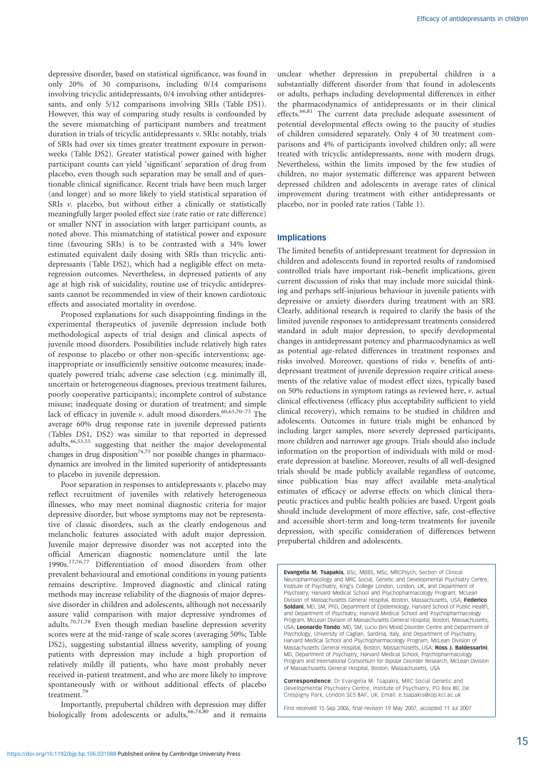depressive disorder, based on statistical significance, was found in only 20% of 30 comparisons, including 0/14 comparisons involving tricyclic antidepressants, 0/4 involving other antidepressants, and only 5/12 comparisons involving SRIs (Table DS1). However, this way of comparing study results is confounded by the severe mismatching of participant numbers and treatment duration in trials of tricyclic antidepressants v. SRIs: notably, trials of SRIs had over six times greater treatment exposure in personweeks (Table DS2). Greater statistical power gained with higher participant counts can yield 'significant' separation of drug from placebo, even though such separation may be small and of questionable clinical significance. Recent trials have been much larger (and longer) and so more likely to yield statistical separation of SRIs v. placebo, but without either a clinically or statistically meaningfully larger pooled effect size (rate ratio or rate difference) or smaller NNT in association with larger participant counts, as noted above. This mismatching of statistical power and exposure time (favouring SRIs) is to be contrasted with a 34% lower estimated equivalent daily dosing with SRIs than tricyclic antidepressants (Table DS2), which had a negligible effect on metaregression outcomes. Nevertheless, in depressed patients of any age at high risk of suicidality, routine use of tricyclic antidepressants cannot be recommended in view of their known cardiotoxic effects and associated mortality in overdose.

Proposed explanations for such disappointing findings in the experimental therapeutics of juvenile depression include both methodological aspects of trial design and clinical aspects of juvenile mood disorders. Possibilities include relatively high rates of response to placebo or other non-specific interventions; ageinappropriate or insufficiently sensitive outcome measures; inadequately powered trials; adverse case selection (e.g. minimally ill, uncertain or heterogeneous diagnoses, previous treatment failures, poorly cooperative participants); incomplete control of substance misuse; inadequate dosing or duration of treatment; and simple lack of efficacy in juvenile v. adult mood disorders.<sup>60,63,70-73</sup> The average 60% drug response rate in juvenile depressed patients (Tables DS1, DS2) was similar to that reported in depressed adults,46,53,55 suggesting that neither the major developmental changes in drug disposition<sup>74,75</sup> nor possible changes in pharmacodynamics are involved in the limited superiority of antidepressants to placebo in juvenile depression.

Poor separation in responses to antidepressants  $\nu$ . placebo may reflect recruitment of juveniles with relatively heterogeneous illnesses, who may meet nominal diagnostic criteria for major depressive disorder, but whose symptoms may not be representative of classic disorders, such as the clearly endogenous and melancholic features associated with adult major depression. Juvenile major depressive disorder was not accepted into the official American diagnostic nomenclature until the late 1990s.17,76,77 Differentiation of mood disorders from other prevalent behavioural and emotional conditions in young patients remains descriptive. Improved diagnostic and clinical rating methods may increase reliability of the diagnosis of major depressive disorder in children and adolescents, although not necessarily assure valid comparison with major depressive syndromes of adults.70,71,78 Even though median baseline depression severity scores were at the mid-range of scale scores (averaging 50%; Table DS2), suggesting substantial illness severity, sampling of young patients with depression may include a high proportion of relatively mildly ill patients, who have most probably never received in-patient treatment, and who are more likely to improve spontaneously with or without additional effects of placebo treatment.79

Importantly, prepubertal children with depression may differ biologically from adolescents or adults,  $66,74,80$  and it remains unclear whether depression in prepubertal children is a substantially different disorder from that found in adolescents or adults, perhaps including developmental differences in either the pharmacodynamics of antidepressants or in their clinical effects.66,81 The current data preclude adequate assessment of potential developmental effects owing to the paucity of studies of children considered separately. Only 4 of 30 treatment comparisons and 4% of participants involved children only; all were treated with tricyclic antidepressants, none with modern drugs. Nevertheless, within the limits imposed by the few studies of children, no major systematic difference was apparent between depressed children and adolescents in average rates of clinical improvement during treatment with either antidepressants or placebo, nor in pooled rate ratios (Table 1).

### Implications

The limited benefits of antidepressant treatment for depression in children and adolescents found in reported results of randomised controlled trials have important risk–benefit implications, given current discussion of risks that may include more suicidal thinking and perhaps self-injurious behaviour in juvenile patients with depressive or anxiety disorders during treatment with an SRI. Clearly, additional research is required to clarify the basis of the limited juvenile responses to antidepressant treatments considered standard in adult major depression, to specify developmental changes in antidepressant potency and pharmacodynamics as well as potential age-related differences in treatment responses and risks involved. Moreover, questions of risks v. benefits of antidepressant treatment of juvenile depression require critical assessments of the relative value of modest effect sizes, typically based on 50% reductions in symptom ratings as reviewed here,  $\nu$ . actual clinical effectiveness (efficacy plus acceptability sufficient to yield clinical recovery), which remains to be studied in children and adolescents. Outcomes in future trials might be enhanced by including larger samples, more severely depressed participants, more children and narrower age groups. Trials should also include information on the proportion of individuals with mild or moderate depression at baseline. Moreover, results of all well-designed trials should be made publicly available regardless of outcome, since publication bias may affect available meta-analytical estimates of efficacy or adverse effects on which clinical therapeutic practices and public health policies are based. Urgent goals should include development of more effective, safe, cost-effective and accessible short-term and long-term treatments for juvenile depression, with specific consideration of differences between prepubertal children and adolescents.

Evangelia M. Tsapakis, BSc, MBBS, MSc, MRCPsych, Section of Clinical Neuropharmacology and MRC Social, Genetic and Developmental Psychiatry Centre, Institute of Psychiatry, King's College London, London, UK, and Department of Psychiatry, Harvard Medical School and Psychopharmacology Program, McLean Division of Massachusetts General Hospital, Boston, Massachusetts, USA; Federico Soldani, MD, SM, PhD, Department of Epidemiology, Harvard School of Public Health, and Department of Psychiatry, Harvard Medical School and Psychopharmacology Program, McLean Division of Massachusetts General Hospital, Boston, Massachusetts, USA; Leonardo Tondo, MD, SM, Lucio Bini Mood Disorder Centre and Department of Psychology, University of Cagliari, Sardinia, Italy, and Department of Psychiatry, Harvard Medical School and Psychopharmacology Program, McLean Division of Massachusetts General Hospital, Boston, Massachusetts, USA; Ross J. Baldessarini, MD, Department of Psychiatry, Harvard Medical School, Psychopharmacology Program and International Consortium for Bipolar Disorder Research, McLean Division of Massachusetts General Hospital, Boston, Massachusetts, USA

Correspondence: Dr Evangelia M. Tsapakis, MRC Social Genetic and Developmental Psychiatry Centre, Institute of Psychiatry, PO Box 80, De Crespigny Park, London SE5 8AF, UK. Email: e.tsapakis@iop.kcl.ac.uk

First received 15 Sep 2006, final revision 19 May 2007, accepted 11 Jul 2007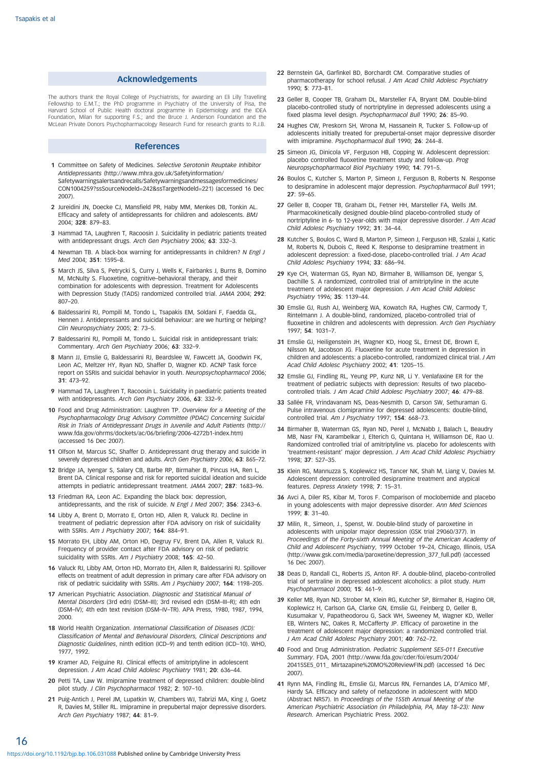### Acknowledgements

The authors thank the Royal College of Psychiatrists, for awarding an Eli Lilly Travelling Fellowship to E.M.T.; the PhD programme in Psychiatry of the University of Pisa, the Harvard School of Public Health doctoral programme in Epidemiology and the IDEA Foundation, Milan for supporting F.S.; and the Bruce J. Anderson Foundation and the McLean Private Donors Psychopharmacology Research Fund for research grants to R.J.B.

### References

- 1 Committee on Safety of Medicines. Selective Serotonin Reuptake Inhibitor Antidepressants (http://www.mhra.gov.uk/Safetyinformation/ Safetywarningsalertsandrecalls/Safetywarningsandmessagesformedicines/ CON1004259?ssSourceNodeld=242&ssTargetNodeld=221) (accessed 16 Dec 2007).
- 2 Jureidini JN, Doecke CJ, Mansfield PR, Haby MM, Menkes DB, Tonkin AL. Efficacy and safety of antidepressants for children and adolescents. BMJ 2004; 328: 879–83.
- 3 Hammad TA, Laughren T, Racoosin J. Suicidality in pediatric patients treated with antidepressant drugs. Arch Gen Psychiatry 2006; 63: 332–3.
- 4 Newman TB. A black-box warning for antidepressants in children? N Engl J Med 2004; 351: 1595-8.
- 5 March JS, Silva S, Petrycki S, Curry J, Wells K, Fairbanks J, Burns B, Domino M, McNulty S. Fluoxetine, cognitive–behavioral therapy, and their combination for adolescents with depression. Treatment for Adolescents with Depression Study (TADS) randomized controlled trial. JAMA 2004; 292: 807–20.
- 6 Baldessarini RJ, Pompili M, Tondo L, Tsapakis EM, Soldani F, Faedda GL, Hennen J. Antidepressants and suicidal behaviour: are we hurting or helping? Clin Neuropsychiatry 2005; 2: 73–5.
- 7 Baldessarini RJ, Pompili M, Tondo L. Suicidal risk in antidepressant trials: Commentary. Arch Gen Psychiatry 2006; 63: 332–9.
- 8 Mann JJ, Emslie G, Baldessarini RJ, Beardslee W, Fawcett JA, Goodwin FK Leon AC, Meltzer HY, Ryan ND, Shaffer D, Wagner KD. ACNP Task force report on SSRIs and suicidal behavior in youth. Neuropsychopharmacol 2006; 31: 473–92.
- 9 Hammad TA, Laughren T, Racoosin L. Suicidality in paediatric patients treated with antidepressants. Arch Gen Psychiatry 2006, 63: 332-9.
- 10 Food and Drug Administration: Laughren TP. Overview for a Meeting of the Psychopharmacology Drug Advisory Committee (PDAC) Concerning Suicidal Risk in Trials of Antidepressant Drugs in Juvenile and Adult Patients (http:// www.fda.gov/ohrms/dockets/ac/06/briefing/2006-4272b1-index.htm) (accessed 16 Dec 2007).
- 11 Olfson M, Marcus SC, Shaffer D. Antidepressant drug therapy and suicide in severely depressed children and adults. Arch Gen Psychiatry 2006; 63: 865–72.
- 12 Bridge JA, Iyengar S, Salary CB, Barbe RP, Birmaher B, Pincus HA, Ren L, Brent DA. Clinical response and risk for reported suicidal ideation and suicide attempts in pediatric antidepressant treatment. JAMA 2007; 287: 1683–96.
- 13 Friedman RA, Leon AC. Expanding the black box: depression, antidepressants, and the risk of suicide. N Engl J Med 2007; 356: 2343-6.
- 14 Libby A, Brent D, Morrato E, Orton HD, Allen R, Valuck RJ. Decline in treatment of pediatric depression after FDA advisory on risk of suicidality with SSRIs. Am J Psychiatry 2007; 164: 884–91.
- 15 Morrato EH, Libby AM, Orton HD, Degruy FV, Brent DA, Allen R, Valuck RJ. Frequency of provider contact after FDA advisory on risk of pediatric suicidality with SSRIs. Am J Psychiatry 2008; 165: 42-50.
- 16 Valuck RJ, Libby AM, Orton HD, Morrato EH, Allen R, Baldessarini RJ. Spillover effects on treatment of adult depression in primary care after FDA advisory on risk of pediatric suicidality with SSRIs. Am J Psychiatry 2007; 164: 1198–205.
- 17 American Psychiatric Association. Diagnostic and Statistical Manual of Mental Disorders (3rd edn) (DSM–III); 3rd revised edn (DSM–III–R); 4th edn (DSM–IV); 4th edn text revision (DSM–IV–TR). APA Press, 1980, 1987, 1994, 2000.
- 18 World Health Organization. International Classification of Diseases (ICD): Classification of Mental and Behavioural Disorders, Clinical Descriptions and Diagnostic Guidelines, ninth edition (ICD–9) and tenth edition (ICD–10). WHO, 1977, 1992.
- 19 Kramer AD, Feiguine RJ. Clinical effects of amitriptyline in adolescent depression. J Am Acad Child Adolesc Psychiatry 1981; 20: 636-44
- 20 Petti TA, Law W. Imipramine treatment of depressed children: double-blind pilot study. J Clin Psychopharmacol 1982; 2: 107-10.
- 21 Puig-Antich J, Perel JM, Lupatkin W, Chambers WJ, Tabrizi MA, King J, Goetz R, Davies M, Stiller RL. Imipramine in prepubertal major depressive disorders. Arch Gen Psychiatry 1987; 44: 81–9.
- 22 Bernstein GA, Garfinkel BD, Borchardt CM. Comparative studies of pharmacotherapy for school refusal. J Am Acad Child Adolesc Psychiatry 1990; 5: 773–81.
- 23 Geller B, Cooper TB, Graham DL, Marsteller FA, Bryant DM. Double-blind placebo-controlled study of nortriptyline in depressed adolescents using a fixed plasma level design. Psychopharmacol Bull 1990; 26: 85–90.
- 24 Hughes CW, Preskorn SH, Wrona M, Hassanein R, Tucker S. Follow-up of adolescents initially treated for prepubertal-onset major depressive disorder with imipramine. Psychopharmacol Bull 1990; 26: 244–8.
- 25 Simeon JG, Dinicola VF, Ferguson HB, Copping W. Adolescent depression: placebo controlled fluoxetine treatment study and follow-up. Prog Neuropsychopharmacol Biol Psychiatry 1990; 14: 791–5.
- 26 Boulos C, Kutcher S, Marton P, Simeon J, Ferguson B, Roberts N. Response to desipramine in adolescent major depression. Psychopharmacol Bull 1991; 27: 59–65.
- 27 Geller B, Cooper TB, Graham DL, Fetner HH, Marsteller FA, Wells JM. Pharmacokinetically designed double-blind placebo-controlled study of nortriptyline in 6- to 12-year-olds with major depressive disorder. J Am Acad Child Adolesc Psychiatry 1992; 31: 34–44.
- 28 Kutcher S, Boulos C, Ward B, Marton P, Simeon J, Ferguson HB, Szalai J, Katic M, Roberts N, Dubois C, Reed K. Response to desipramine treatment in adolescent depression: a fixed-dose, placebo-controlled trial. J Am Acad Child Adolesc Psychiatry 1994; 33: 686–94.
- 29 Kye CH, Waterman GS, Ryan ND, Birmaher B, Williamson DE, Iyengar S, Dachille S. A randomized, controlled trial of amitriptyline in the acute treatment of adolescent major depression. J Am Acad Child Adolesc Psychiatry 1996; 35: 1139–44.
- 30 Emslie GJ, Rush AJ, Weinberg WA, Kowatch RA, Hughes CW, Carmody T, Rintelmann J. A double-blind, randomized, placebo-controlled trial of fluoxetine in children and adolescents with depression. Arch Gen Psychiatry 1997; 54: 1031–7.
- 31 Emslie GJ, Heiligenstein JH, Wagner KD, Hoog SL, Ernest DE, Brown E, Nilsson M, Jacobson JG. Fluoxetine for acute treatment in depression in children and adolescents: a placebo-controlled, randomized clinical trial. J Am Acad Child Adolesc Psychiatry 2002; 41: 1205–15.
- 32 Emslie GJ, Findling RL, Yeung PP, Kunz NR, Li Y. Venlafaxine ER for the treatment of pediatric subjects with depression: Results of two placebocontrolled trials. J Am Acad Child Adolesc Psychiatry 2007; 46: 479–88.
- 33 Sallée FR, Vrindavanam NS, Deas-Nesmith D, Carson SW, Sethuraman G. Pulse intravenous clomipramine for depressed adolescents: double-blind, controlled trial. Am J Psychiatry 1997; 154: 668–73.
- 34 Birmaher B, Waterman GS, Ryan ND, Perel J, McNabb J, Balach L, Beaudry MB, Nasr FN, Karambelkar J, Elterich G, Quintana H, Williamson DE, Rao U. Randomized controlled trial of amitriptyline vs. placebo for adolescents with 'treatment-resistant' major depression. J Am Acad Child Adolesc Psychiatry 1998; 37: 527–35.
- 35 Klein RG, Mannuzza S, Koplewicz HS, Tancer NK, Shah M, Liang V, Davies M. Adolescent depression: controlled desipramine treatment and atypical features. Depress Anxiety 1998; 7: 15–31.
- 36 Avci A, Diler RS, Kibar M, Toros F. Comparison of moclobemide and placebo in young adolescents with major depressive disorder. Ann Med Sciences 1999; 8: 31–40.
- 37 Milin, R., Simeon, J., Spenst, W. Double-blind study of paroxetine in adolescents with unipolar major depression (GSK trial 29060/377). In Proceedings of the Forty-sixth Annual Meeting of the American Academy of Child and Adolescent Psychiatry, 1999 October 19–24, Chicago, Illinois, USA (http://www.gsk.com/media/paroxetine/depression\_377\_full.pdf) (accessed 16 Dec 2007).
- 38 Deas D, Randall CL, Roberts JS, Anton RF. A double-blind, placebo-controlled trial of sertraline in depressed adolescent alcoholics: a pilot study. Hum Psychopharmacol 2000; 15: 461–9.
- 39 Keller MB, Ryan ND, Strober M, Klein RG, Kutcher SP, Birmaher B, Hagino OR, Koplewicz H, Carlson GA, Clarke GN, Emslie GJ, Feinberg D, Geller B, Kusumakar V, Papatheodorou G, Sack WH, Sweeney M, Wagner KD, Weller EB, Winters NC, Oakes R, McCafferty JP. Efficacy of paroxetine in the treatment of adolescent major depression: a randomized controlled trial. J Am Acad Child Adolesc Psychiatry 2001; 40: 762–72.
- 40 Food and Drug Administration. Pediatric Supplement SE5-011 Executive Summary. FDA, 2001 (http://www.fda.gov/cder/foi/esum/2004/ 20415SE5\_011\_ Mirtazapine%20MO%20ReviewFIN.pdf) (accessed 16 Dec 2007).
- 41 Rynn MA, Findling RL, Emslie GJ, Marcus RN, Fernandes LA, D'Amico MF, Hardy SA. Efficacy and safety of nefazodone in adolescent with MDD (Abstract NR57). In Proceedings of the 155th Annual Meeting of the American Psychiatric Association (in Philadelphia, PA, May 18–23): New Research. American Psychiatric Press. 2002.

16